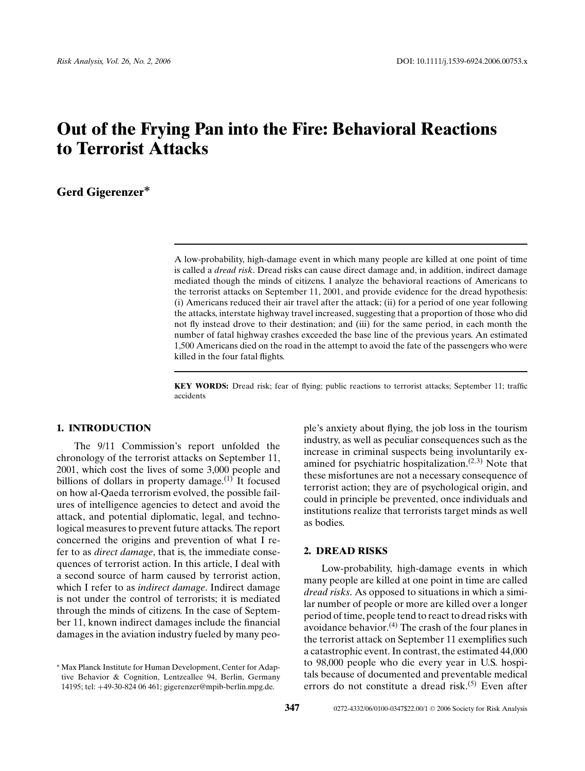# **Out of the Frying Pan into the Fire: Behavioral Reactions to Terrorist Attacks**

## **Gerd Gigerenzer***∗*

A low-probability, high-damage event in which many people are killed at one point of time is called a *dread risk*. Dread risks can cause direct damage and, in addition, indirect damage mediated though the minds of citizens. I analyze the behavioral reactions of Americans to the terrorist attacks on September 11, 2001, and provide evidence for the dread hypothesis: (i) Americans reduced their air travel after the attack; (ii) for a period of one year following the attacks, interstate highway travel increased, suggesting that a proportion of those who did not fly instead drove to their destination; and (iii) for the same period, in each month the number of fatal highway crashes exceeded the base line of the previous years. An estimated 1,500 Americans died on the road in the attempt to avoid the fate of the passengers who were killed in the four fatal flights.

**KEY WORDS:** Dread risk; fear of flying; public reactions to terrorist attacks; September 11; traffic accidents

## **1. INTRODUCTION**

The 9/11 Commission's report unfolded the chronology of the terrorist attacks on September 11, 2001, which cost the lives of some 3,000 people and billions of dollars in property damage. $(1)$  It focused on how al-Qaeda terrorism evolved, the possible failures of intelligence agencies to detect and avoid the attack, and potential diplomatic, legal, and technological measures to prevent future attacks. The report concerned the origins and prevention of what I refer to as *direct damage*, that is, the immediate consequences of terrorist action. In this article, I deal with a second source of harm caused by terrorist action, which I refer to as *indirect damage*. Indirect damage is not under the control of terrorists; it is mediated through the minds of citizens. In the case of September 11, known indirect damages include the financial damages in the aviation industry fueled by many people's anxiety about flying, the job loss in the tourism industry, as well as peculiar consequences such as the increase in criminal suspects being involuntarily examined for psychiatric hospitalization. $(2,3)$  Note that these misfortunes are not a necessary consequence of terrorist action; they are of psychological origin, and could in principle be prevented, once individuals and institutions realize that terrorists target minds as well as bodies.

#### **2. DREAD RISKS**

Low-probability, high-damage events in which many people are killed at one point in time are called *dread risks*. As opposed to situations in which a similar number of people or more are killed over a longer period of time, people tend to react to dread risks with avoidance behavior. $(4)$  The crash of the four planes in the terrorist attack on September 11 exemplifies such a catastrophic event. In contrast, the estimated 44,000 to 98,000 people who die every year in U.S. hospitals because of documented and preventable medical errors do not constitute a dread risk.<sup>(5)</sup> Even after

<sup>∗</sup> Max Planck Institute for Human Development, Center for Adaptive Behavior & Cognition, Lentzeallee 94, Berlin, Germany 14195; tel: +49-30-824 06 461; gigerenzer@mpib-berlin.mpg.de.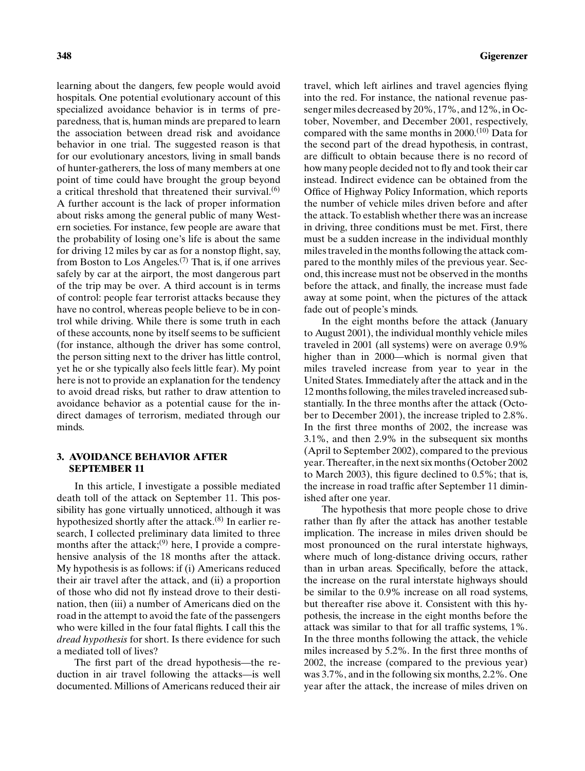learning about the dangers, few people would avoid hospitals. One potential evolutionary account of this specialized avoidance behavior is in terms of preparedness, that is, human minds are prepared to learn the association between dread risk and avoidance behavior in one trial. The suggested reason is that for our evolutionary ancestors, living in small bands of hunter-gatherers, the loss of many members at one point of time could have brought the group beyond a critical threshold that threatened their survival.<sup>(6)</sup> A further account is the lack of proper information about risks among the general public of many Western societies. For instance, few people are aware that the probability of losing one's life is about the same for driving 12 miles by car as for a nonstop flight, say, from Boston to Los Angeles.<sup> $(7)$ </sup> That is, if one arrives safely by car at the airport, the most dangerous part of the trip may be over. A third account is in terms of control: people fear terrorist attacks because they have no control, whereas people believe to be in control while driving. While there is some truth in each of these accounts, none by itself seems to be sufficient (for instance, although the driver has some control, the person sitting next to the driver has little control, yet he or she typically also feels little fear). My point here is not to provide an explanation for the tendency to avoid dread risks, but rather to draw attention to avoidance behavior as a potential cause for the indirect damages of terrorism, mediated through our minds.

## **3. AVOIDANCE BEHAVIOR AFTER SEPTEMBER 11**

In this article, I investigate a possible mediated death toll of the attack on September 11. This possibility has gone virtually unnoticed, although it was hypothesized shortly after the attack. $(8)$  In earlier research, I collected preliminary data limited to three months after the attack; $(9)$  here, I provide a comprehensive analysis of the 18 months after the attack. My hypothesis is as follows: if (i) Americans reduced their air travel after the attack, and (ii) a proportion of those who did not fly instead drove to their destination, then (iii) a number of Americans died on the road in the attempt to avoid the fate of the passengers who were killed in the four fatal flights. I call this the *dread hypothesis* for short. Is there evidence for such a mediated toll of lives?

The first part of the dread hypothesis—the reduction in air travel following the attacks—is well documented. Millions of Americans reduced their air travel, which left airlines and travel agencies flying into the red. For instance, the national revenue passenger miles decreased by 20%, 17%, and 12%, in October, November, and December 2001, respectively, compared with the same months in  $2000$ .<sup>(10)</sup> Data for the second part of the dread hypothesis, in contrast, are difficult to obtain because there is no record of how many people decided not to fly and took their car instead. Indirect evidence can be obtained from the Office of Highway Policy Information, which reports the number of vehicle miles driven before and after the attack. To establish whether there was an increase in driving, three conditions must be met. First, there must be a sudden increase in the individual monthly miles traveled in the months following the attack compared to the monthly miles of the previous year. Second, this increase must not be observed in the months before the attack, and finally, the increase must fade away at some point, when the pictures of the attack fade out of people's minds.

In the eight months before the attack (January to August 2001), the individual monthly vehicle miles traveled in 2001 (all systems) were on average 0.9% higher than in 2000—which is normal given that miles traveled increase from year to year in the United States. Immediately after the attack and in the 12 months following, the miles traveled increased substantially. In the three months after the attack (October to December 2001), the increase tripled to 2.8%. In the first three months of 2002, the increase was 3.1%, and then 2.9% in the subsequent six months (April to September 2002), compared to the previous year. Thereafter, in the next six months (October 2002 to March 2003), this figure declined to 0.5%; that is, the increase in road traffic after September 11 diminished after one year.

The hypothesis that more people chose to drive rather than fly after the attack has another testable implication. The increase in miles driven should be most pronounced on the rural interstate highways, where much of long-distance driving occurs, rather than in urban areas. Specifically, before the attack, the increase on the rural interstate highways should be similar to the 0.9% increase on all road systems, but thereafter rise above it. Consistent with this hypothesis, the increase in the eight months before the attack was similar to that for all traffic systems, 1%. In the three months following the attack, the vehicle miles increased by 5.2%. In the first three months of 2002, the increase (compared to the previous year) was 3.7%, and in the following six months, 2.2%. One year after the attack, the increase of miles driven on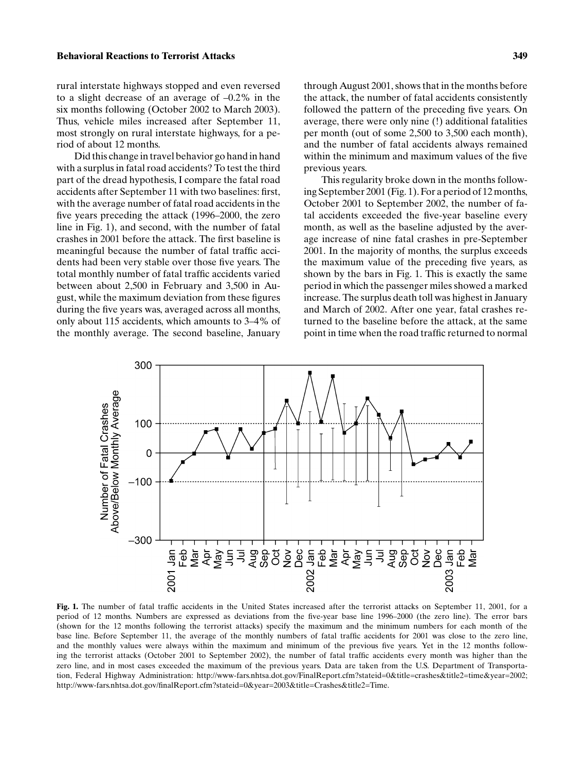#### **Behavioral Reactions to Terrorist Attacks 349**

rural interstate highways stopped and even reversed to a slight decrease of an average of –0.2% in the six months following (October 2002 to March 2003). Thus, vehicle miles increased after September 11, most strongly on rural interstate highways, for a period of about 12 months.

Did this change in travel behavior go hand in hand with a surplus in fatal road accidents? To test the third part of the dread hypothesis, I compare the fatal road accidents after September 11 with two baselines: first, with the average number of fatal road accidents in the five years preceding the attack (1996–2000, the zero line in Fig. 1), and second, with the number of fatal crashes in 2001 before the attack. The first baseline is meaningful because the number of fatal traffic accidents had been very stable over those five years. The total monthly number of fatal traffic accidents varied between about 2,500 in February and 3,500 in August, while the maximum deviation from these figures during the five years was, averaged across all months, only about 115 accidents, which amounts to 3–4% of the monthly average. The second baseline, January through August 2001, shows that in the months before the attack, the number of fatal accidents consistently followed the pattern of the preceding five years. On average, there were only nine (!) additional fatalities per month (out of some 2,500 to 3,500 each month), and the number of fatal accidents always remained within the minimum and maximum values of the five previous years.

This regularity broke down in the months following September 2001 (Fig. 1). For a period of 12 months, October 2001 to September 2002, the number of fatal accidents exceeded the five-year baseline every month, as well as the baseline adjusted by the average increase of nine fatal crashes in pre-September 2001. In the majority of months, the surplus exceeds the maximum value of the preceding five years, as shown by the bars in Fig. 1. This is exactly the same period in which the passenger miles showed a marked increase. The surplus death toll was highest in January and March of 2002. After one year, fatal crashes returned to the baseline before the attack, at the same point in time when the road traffic returned to normal



**Fig. 1.** The number of fatal traffic accidents in the United States increased after the terrorist attacks on September 11, 2001, for a period of 12 months. Numbers are expressed as deviations from the five-year base line 1996–2000 (the zero line). The error bars (shown for the 12 months following the terrorist attacks) specify the maximum and the minimum numbers for each month of the base line. Before September 11, the average of the monthly numbers of fatal traffic accidents for 2001 was close to the zero line, and the monthly values were always within the maximum and minimum of the previous five years. Yet in the 12 months following the terrorist attacks (October 2001 to September 2002), the number of fatal traffic accidents every month was higher than the zero line, and in most cases exceeded the maximum of the previous years. Data are taken from the U.S. Department of Transportation, Federal Highway Administration: http://www-fars.nhtsa.dot.gov/FinalReport.cfm?stateid=0&title=crashes&title2=time&year=2002; http://www-fars.nhtsa.dot.gov/finalReport.cfm?stateid=0&year=2003&title=Crashes&title2=Time.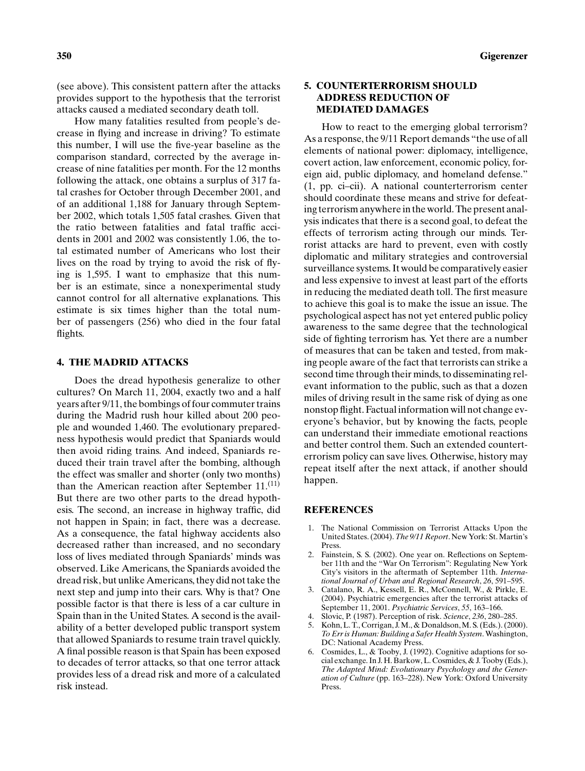(see above). This consistent pattern after the attacks provides support to the hypothesis that the terrorist attacks caused a mediated secondary death toll.

How many fatalities resulted from people's decrease in flying and increase in driving? To estimate this number, I will use the five-year baseline as the comparison standard, corrected by the average increase of nine fatalities per month. For the 12 months following the attack, one obtains a surplus of 317 fatal crashes for October through December 2001, and of an additional 1,188 for January through September 2002, which totals 1,505 fatal crashes. Given that the ratio between fatalities and fatal traffic accidents in 2001 and 2002 was consistently 1.06, the total estimated number of Americans who lost their lives on the road by trying to avoid the risk of flying is 1,595. I want to emphasize that this number is an estimate, since a nonexperimental study cannot control for all alternative explanations. This estimate is six times higher than the total number of passengers (256) who died in the four fatal flights.

### **4. THE MADRID ATTACKS**

Does the dread hypothesis generalize to other cultures? On March 11, 2004, exactly two and a half years after 9/11, the bombings of four commuter trains during the Madrid rush hour killed about 200 people and wounded 1,460. The evolutionary preparedness hypothesis would predict that Spaniards would then avoid riding trains. And indeed, Spaniards reduced their train travel after the bombing, although the effect was smaller and shorter (only two months) than the American reaction after September  $11$ .<sup>(11)</sup> But there are two other parts to the dread hypothesis. The second, an increase in highway traffic, did not happen in Spain; in fact, there was a decrease. As a consequence, the fatal highway accidents also decreased rather than increased, and no secondary loss of lives mediated through Spaniards' minds was observed. Like Americans, the Spaniards avoided the dread risk, but unlike Americans, they did not take the next step and jump into their cars. Why is that? One possible factor is that there is less of a car culture in Spain than in the United States. A second is the availability of a better developed public transport system that allowed Spaniards to resume train travel quickly. A final possible reason is that Spain has been exposed to decades of terror attacks, so that one terror attack provides less of a dread risk and more of a calculated risk instead.

## **5. COUNTERTERRORISM SHOULD ADDRESS REDUCTION OF MEDIATED DAMAGES**

How to react to the emerging global terrorism? As a response, the 9/11 Report demands "the use of all elements of national power: diplomacy, intelligence, covert action, law enforcement, economic policy, foreign aid, public diplomacy, and homeland defense." (1, pp. ci–cii). A national counterterrorism center should coordinate these means and strive for defeating terrorism anywhere in the world. The present analysis indicates that there is a second goal, to defeat the effects of terrorism acting through our minds. Terrorist attacks are hard to prevent, even with costly diplomatic and military strategies and controversial surveillance systems. It would be comparatively easier and less expensive to invest at least part of the efforts in reducing the mediated death toll. The first measure to achieve this goal is to make the issue an issue. The psychological aspect has not yet entered public policy awareness to the same degree that the technological side of fighting terrorism has. Yet there are a number of measures that can be taken and tested, from making people aware of the fact that terrorists can strike a second time through their minds, to disseminating relevant information to the public, such as that a dozen miles of driving result in the same risk of dying as one nonstop flight. Factual information will not change everyone's behavior, but by knowing the facts, people can understand their immediate emotional reactions and better control them. Such an extended counterterrorism policy can save lives. Otherwise, history may repeat itself after the next attack, if another should happen.

#### **REFERENCES**

- 1. The National Commission on Terrorist Attacks Upon the United States. (2004).*The 9/11 Report*. New York: St. Martin's Press.
- 2. Fainstein, S. S. (2002). One year on. Reflections on September 11th and the "War On Terrorism": Regulating New York City's visitors in the aftermath of September 11th. *International Journal of Urban and Regional Research*, *26*, 591–595.
- 3. Catalano, R. A., Kessell, E. R., McConnell, W., & Pirkle, E. (2004). Psychiatric emergencies after the terrorist attacks of September 11, 2001. *Psychiatric Services*, *55*, 163–166.
- 4. Slovic, P. (1987). Perception of risk. *Science*, *236*, 280–285.
- 5. Kohn, L. T., Corrigan, J. M., & Donaldson, M. S. (Eds.). (2000). *To Err is Human: Building a Safer Health System*. Washington, DC: National Academy Press.
- 6. Cosmides, L., & Tooby, J. (1992). Cognitive adaptions for social exchange. In J. H. Barkow, L. Cosmides, & J. Tooby (Eds.), *The Adapted Mind: Evolutionary Psychology and the Generation of Culture* (pp. 163–228). New York: Oxford University Press.